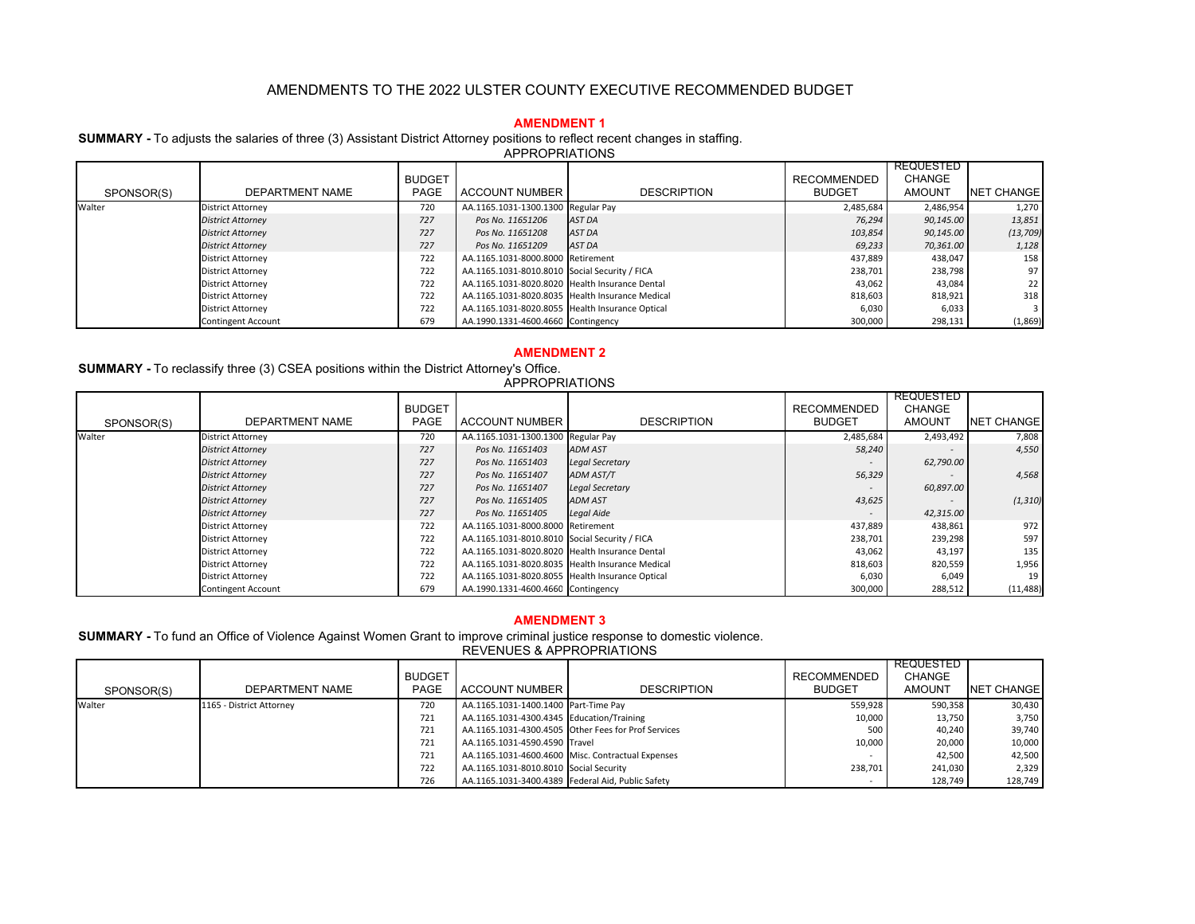#### **AMENDMENT 1**

**SUMMARY -** To adjusts the salaries of three (3) Assistant District Attorney positions to reflect recent changes in staffing.

APPROPRIATIONS

|            |                           | <b>BUDGET</b> |                                                 |                    | <b>RECOMMENDED</b> | <b>REQUESTED</b><br><b>CHANGE</b> |                   |
|------------|---------------------------|---------------|-------------------------------------------------|--------------------|--------------------|-----------------------------------|-------------------|
| SPONSOR(S) | DEPARTMENT NAME           | <b>PAGE</b>   | <b>ACCOUNT NUMBER</b>                           | <b>DESCRIPTION</b> | <b>BUDGET</b>      | AMOUNT                            | <b>NET CHANGE</b> |
| Walter     | <b>District Attorney</b>  | 720           | AA.1165.1031-1300.1300 Regular Pay              |                    | 2,485,684          | 2,486,954                         | 1,270             |
|            | <b>District Attorney</b>  | 727           | Pos No. 11651206                                | AST DA             | 76,294             | 90,145.00                         | 13,851            |
|            | <b>District Attorney</b>  | 727           | Pos No. 11651208                                | AST DA             | 103,854            | 90,145.00                         | (13, 709)         |
|            | <b>District Attorney</b>  | 727           | Pos No. 11651209                                | AST DA             | 69,233             | 70,361.00                         | 1,128             |
|            | <b>District Attorney</b>  | 722           | AA.1165.1031-8000.8000 Retirement               |                    | 437,889            | 438,047                           | 158               |
|            | <b>District Attorney</b>  | 722           | AA.1165.1031-8010.8010 Social Security / FICA   |                    | 238,701            | 238,798                           | 97                |
|            | <b>District Attorney</b>  | 722           | AA.1165.1031-8020.8020 Health Insurance Dental  |                    | 43,062             | 43,084                            | 22 <sub>1</sub>   |
|            | <b>District Attorney</b>  | 722           | AA.1165.1031-8020.8035 Health Insurance Medical |                    | 818,603            | 818,921                           | 318               |
|            | <b>District Attorney</b>  | 722           | AA.1165.1031-8020.8055 Health Insurance Optical |                    | 6,030              | 6,033                             | $3 \mid$          |
|            | <b>Contingent Account</b> | 679           | AA.1990.1331-4600.4660 Contingency              |                    | 300,000            | 298,131                           | (1,869)           |

### **AMENDMENT 2**

**SUMMARY -** To reclassify three (3) CSEA positions within the District Attorney's Office.

|            |                           |                       | <b>APPROPRIATIONS</b>                           |                        |                                     |                                      |                   |
|------------|---------------------------|-----------------------|-------------------------------------------------|------------------------|-------------------------------------|--------------------------------------|-------------------|
| SPONSOR(S) | DEPARTMENT NAME           | <b>BUDGET</b><br>PAGE | <b>ACCOUNT NUMBER</b>                           | <b>DESCRIPTION</b>     | <b>RECOMMENDED</b><br><b>BUDGET</b> | REQUESTED<br><b>CHANGE</b><br>AMOUNT | <b>NET CHANGE</b> |
| Walter     | District Attorney         | 720                   | AA.1165.1031-1300.1300 Regular Pay              |                        | 2,485,684                           | 2,493,492                            | 7,808             |
|            | <b>District Attorney</b>  | 727                   | Pos No. 11651403                                | <b>ADM AST</b>         | 58,240                              |                                      | 4,550             |
|            | <b>District Attorney</b>  | 727                   | Pos No. 11651403                                | <b>Legal Secretary</b> |                                     | 62,790.00                            |                   |
|            | <b>District Attorney</b>  | 727                   | Pos No. 11651407                                | <b>ADM AST/T</b>       | 56,329                              |                                      | 4,568             |
|            | <b>District Attorney</b>  | 727                   | Pos No. 11651407                                | <b>Legal Secretary</b> |                                     | 60,897.00                            |                   |
|            | <b>District Attorney</b>  | 727                   | Pos No. 11651405                                | <b>ADM AST</b>         | 43,625                              | $\overline{\phantom{0}}$             | (1, 310)          |
|            | <b>District Attorney</b>  | 727                   | Pos No. 11651405                                | Legal Aide             |                                     | 42,315.00                            |                   |
|            | <b>District Attorney</b>  | 722                   | AA.1165.1031-8000.8000 Retirement               |                        | 437,889                             | 438,861                              | 972               |
|            | <b>District Attorney</b>  | 722                   | AA.1165.1031-8010.8010 Social Security / FICA   |                        | 238,701                             | 239,298                              | 597               |
|            | <b>District Attorney</b>  | 722                   | AA.1165.1031-8020.8020 Health Insurance Dental  |                        | 43,062                              | 43,197                               | 135               |
|            | <b>District Attorney</b>  | 722                   | AA.1165.1031-8020.8035 Health Insurance Medical |                        | 818,603                             | 820,559                              | 1,956             |
|            | <b>District Attorney</b>  | 722                   | AA.1165.1031-8020.8055 Health Insurance Optical |                        | 6,030                               | 6,049                                | 19                |
|            | <b>Contingent Account</b> | 679                   | AA.1990.1331-4600.4660 Contingency              |                        | 300,000                             | 288,512                              | (11, 488)         |

# **AMENDMENT 3**

 **SUMMARY -** To fund an Office of Violence Against Women Grant to improve criminal justice response to domestic violence. REVENUES & APPROPRIATIONS

| SPONSOR(S) | DEPARTMENT NAME          | <b>BUDGET</b><br><b>PAGE</b> | <b>ACCOUNT NUMBER</b>                             | <b>DESCRIPTION</b>                                  | <b>RECOMMENDED</b><br><b>BUDGET</b> | REQUESTED<br>CHANGE<br><b>AMOUNT</b> | <b>NET CHANGE</b> |
|------------|--------------------------|------------------------------|---------------------------------------------------|-----------------------------------------------------|-------------------------------------|--------------------------------------|-------------------|
| Walter     | 1165 - District Attorney | 720                          | AA.1165.1031-1400.1400 Part-Time Pay              |                                                     | 559,928                             | 590,358                              | 30,430            |
|            |                          |                              |                                                   |                                                     |                                     |                                      |                   |
|            |                          | 721                          | AA.1165.1031-4300.4345 Education/Training         |                                                     | 10,000                              | 13.750                               | 3,750             |
|            |                          | 721                          |                                                   | AA.1165.1031-4300.4505 Other Fees for Prof Services | 500                                 | 40.240                               | 39,740            |
|            |                          | 721                          | AA.1165.1031-4590.4590 Travel                     |                                                     | 10,000                              | 20,000                               | 10,000            |
|            |                          | 721                          |                                                   | AA.1165.1031-4600.4600 Misc. Contractual Expenses   |                                     | 42,500                               | 42,500            |
|            |                          | 722                          | AA.1165.1031-8010.8010 Social Security            |                                                     | 238.701                             | 241,030                              | 2,329             |
|            |                          | 726                          | AA.1165.1031-3400.4389 Federal Aid, Public Safety |                                                     |                                     | 128.749                              | 128,749           |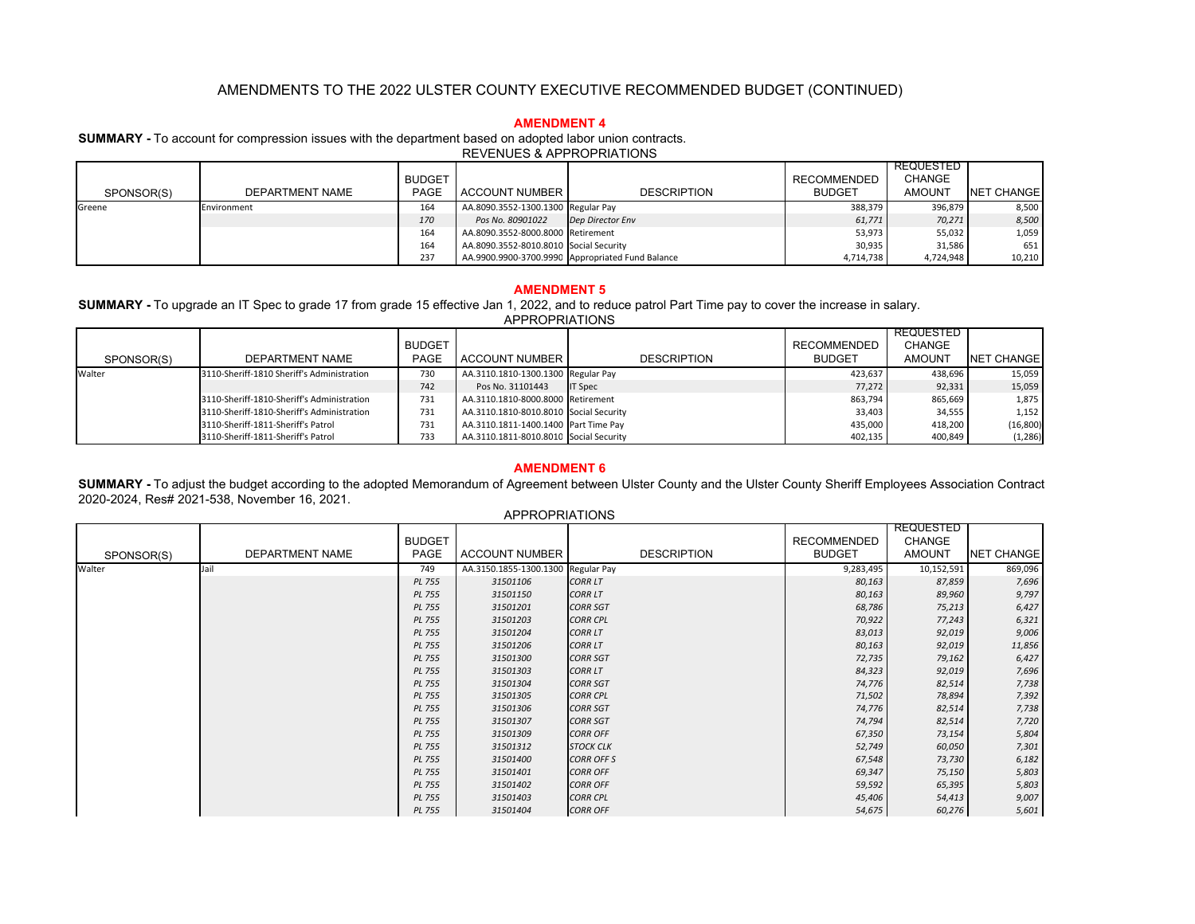## **AMENDMENT 4**

**SUMMARY -** To account for compression issues with the department based on adopted labor union contracts.

REVENUES & APPROPRIATIONS

|            |                 |               |                                        |                                                  |                    | REQUESTED     |                   |
|------------|-----------------|---------------|----------------------------------------|--------------------------------------------------|--------------------|---------------|-------------------|
|            |                 | <b>BUDGET</b> |                                        |                                                  | <b>RECOMMENDED</b> | <b>CHANGE</b> |                   |
| SPONSOR(S) | DEPARTMENT NAME | <b>PAGE</b>   | ACCOUNT NUMBER                         | <b>DESCRIPTION</b>                               | <b>BUDGET</b>      | <b>AMOUNT</b> | <b>NET CHANGE</b> |
| Greene     | Environment     | 164           | AA.8090.3552-1300.1300 Regular Pay     |                                                  | 388,379            | 396,879       | 8,500             |
|            |                 | 170           | Pos No. 80901022                       | Dep Director Env                                 | 61,771             | 70,271        | 8,500             |
|            |                 | 164           | AA.8090.3552-8000.8000 Retirement      |                                                  | 53,973             | 55,032        | 1,059             |
|            |                 | 164           | AA.8090.3552-8010.8010 Social Security |                                                  | 30,935             | 31,586        | 651               |
|            |                 | 237           |                                        | AA.9900.9900-3700.9990 Appropriated Fund Balance | 4,714,738          | 4,724,948     | 10,210            |

# **AMENDMENT 5**

**SUMMARY -** To upgrade an IT Spec to grade 17 from grade 15 effective Jan 1, 2022, and to reduce patrol Part Time pay to cover the increase in salary. APPROPRIATIONS

| SPONSOR(S) | <b>DEPARTMENT NAME</b>                     | <b>BUDGET</b><br>PAGE | ACCOUNT NUMBER                         | <b>DESCRIPTION</b> | RECOMMENDED<br><b>BUDGET</b> | <b>REQUESTED</b><br><b>CHANGE</b><br><b>AMOUNT</b> | NET CHANGE |
|------------|--------------------------------------------|-----------------------|----------------------------------------|--------------------|------------------------------|----------------------------------------------------|------------|
| Walter     | 3110-Sheriff-1810 Sheriff's Administration | 730                   | AA.3110.1810-1300.1300 Regular Pay     |                    | 423.637                      | 438.696                                            | 15.059     |
|            |                                            | 742                   | Pos No. 31101443                       | <b>IT Spec</b>     | 77.272                       | 92,331                                             | 15,059     |
|            | 3110-Sheriff-1810-Sheriff's Administration | 731                   | AA.3110.1810-8000.8000 Retirement      |                    | 863,794                      | 865,669                                            | 1,875      |
|            | 3110-Sheriff-1810-Sheriff's Administration | 731                   | AA.3110.1810-8010.8010 Social Security |                    | 33,403                       | 34,555                                             | 1,152      |
|            | 3110-Sheriff-1811-Sheriff's Patrol         | 731                   | AA.3110.1811-1400.1400 Part Time Pay   |                    | 435.000                      | 418,200                                            | (16, 800)  |
|            | 3110-Sheriff-1811-Sheriff's Patrol         | 733                   | AA.3110.1811-8010.8010 Social Security |                    | 402,135                      | 400,849                                            | (1, 286)   |

# **AMENDMENT 6**

**SUMMARY -** To adjust the budget according to the adopted Memorandum of Agreement between Ulster County and the Ulster County Sheriff Employees Association Contract 2020-2024, Res# 2021-538, November 16, 2021.

|            |                 |                       | <b>APPROPRIATIONS</b>              |                    |                                     |                                                    |                   |
|------------|-----------------|-----------------------|------------------------------------|--------------------|-------------------------------------|----------------------------------------------------|-------------------|
| SPONSOR(S) | DEPARTMENT NAME | <b>BUDGET</b><br>PAGE | <b>ACCOUNT NUMBER</b>              | <b>DESCRIPTION</b> | <b>RECOMMENDED</b><br><b>BUDGET</b> | <b>REQUESTED</b><br><b>CHANGE</b><br><b>AMOUNT</b> | <b>NET CHANGE</b> |
| Walter     | Jail            | 749                   | AA.3150.1855-1300.1300 Regular Pay |                    | 9,283,495                           | 10,152,591                                         | 869,096           |
|            |                 | <b>PL 755</b>         | 31501106                           | <b>CORR LT</b>     | 80,163                              | 87,859                                             | 7,696             |
|            |                 | <b>PL 755</b>         | 31501150                           | <b>CORR LT</b>     | 80,163                              | 89,960                                             | 9,797             |
|            |                 | <b>PL 755</b>         | 31501201                           | <b>CORR SGT</b>    | 68,786                              | 75,213                                             | 6,427             |
|            |                 | <b>PL 755</b>         | 31501203                           | <b>CORR CPL</b>    | 70,922                              | 77,243                                             | 6,321             |
|            |                 | <b>PL 755</b>         | 31501204                           | <b>CORR LT</b>     | 83,013                              | 92,019                                             | 9,006             |
|            |                 | <b>PL 755</b>         | 31501206                           | <b>CORR LT</b>     | 80,163                              | 92,019                                             | 11,856            |
|            |                 | <b>PL 755</b>         | 31501300                           | <b>CORR SGT</b>    | 72,735                              | 79,162                                             | 6,427             |
|            |                 | <b>PL 755</b>         | 31501303                           | <b>CORR LT</b>     | 84,323                              | 92,019                                             | 7,696             |
|            |                 | <b>PL 755</b>         | 31501304                           | <b>CORR SGT</b>    | 74,776                              | 82,514                                             | 7,738             |
|            |                 | <b>PL 755</b>         | 31501305                           | <b>CORR CPL</b>    | 71,502                              | 78,894                                             | 7,392             |
|            |                 | <b>PL 755</b>         | 31501306                           | <b>CORR SGT</b>    | 74,776                              | 82,514                                             | 7,738             |
|            |                 | <b>PL 755</b>         | 31501307                           | <b>CORR SGT</b>    | 74,794                              | 82,514                                             | 7,720             |
|            |                 | <b>PL 755</b>         | 31501309                           | <b>CORR OFF</b>    | 67,350                              | 73,154                                             | 5,804             |
|            |                 | <b>PL 755</b>         | 31501312                           | <b>STOCK CLK</b>   | 52,749                              | 60,050                                             | 7,301             |
|            |                 | <b>PL 755</b>         | 31501400                           | <b>CORR OFF S</b>  | 67,548                              | 73,730                                             | 6,182             |
|            |                 | <b>PL 755</b>         | 31501401                           | <b>CORR OFF</b>    | 69,347                              | 75,150                                             | 5,803             |
|            |                 | <b>PL 755</b>         | 31501402                           | <b>CORR OFF</b>    | 59,592                              | 65,395                                             | 5,803             |
|            |                 | <b>PL 755</b>         | 31501403                           | <b>CORR CPL</b>    | 45,406                              | 54,413                                             | 9,007             |
|            |                 | <b>PL 755</b>         | 31501404                           | <b>CORR OFF</b>    | 54,675                              | 60,276                                             | 5,601             |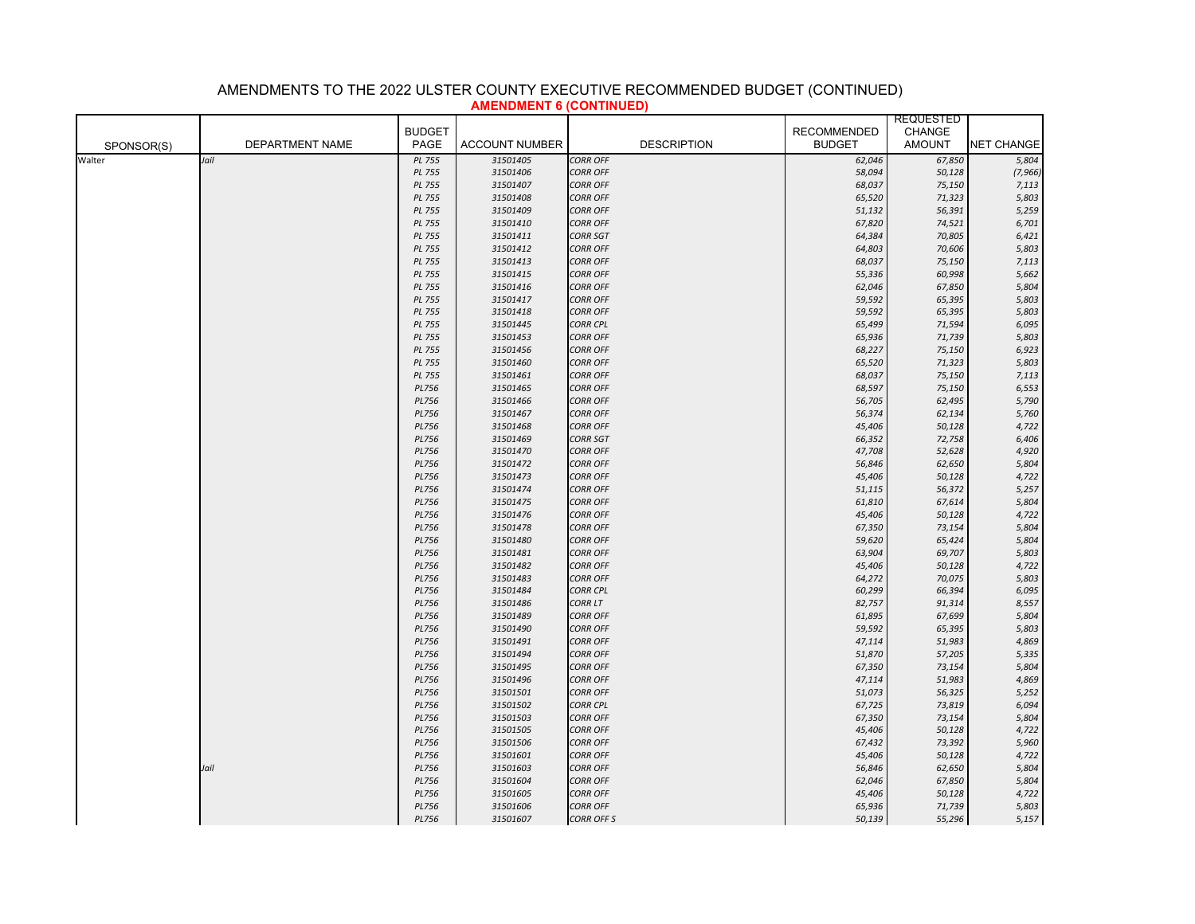|            |                 |               | <del>AMBERT 1999 - 1999 - 1999 - 1999 - 1999 - 1999 - 1999 - 1999 - 1999 - 1999 - 1999 - 1999 - 1999 - 1999 - 1999 - 19</del> | $\sim$             | <b>REQUESTED</b>   |               |                   |
|------------|-----------------|---------------|-------------------------------------------------------------------------------------------------------------------------------|--------------------|--------------------|---------------|-------------------|
|            |                 | <b>BUDGET</b> |                                                                                                                               |                    | <b>RECOMMENDED</b> | <b>CHANGE</b> |                   |
| SPONSOR(S) | DEPARTMENT NAME | PAGE          | <b>ACCOUNT NUMBER</b>                                                                                                         | <b>DESCRIPTION</b> | <b>BUDGET</b>      | <b>AMOUNT</b> | <b>NET CHANGE</b> |
| Walter     | Jail            | PL 755        | 31501405                                                                                                                      | <b>CORR OFF</b>    | 62,046             | 67,850        | 5,804             |
|            |                 | PL 755        | 31501406                                                                                                                      | <b>CORR OFF</b>    | 58,094             | 50,128        | (7, 966)          |
|            |                 | PL 755        | 31501407                                                                                                                      | <b>CORR OFF</b>    | 68,037             | 75,150        | 7,113             |
|            |                 | PL 755        | 31501408                                                                                                                      | <b>CORR OFF</b>    | 65,520             | 71,323        | 5,803             |
|            |                 | <b>PL 755</b> | 31501409                                                                                                                      | <b>CORR OFF</b>    | 51,132             | 56,391        | 5,259             |
|            |                 | <b>PL 755</b> | 31501410                                                                                                                      | <b>CORR OFF</b>    | 67,820             | 74,521        | 6,701             |
|            |                 | <b>PL 755</b> | 31501411                                                                                                                      | <b>CORR SGT</b>    | 64,384             | 70,805        | 6,421             |
|            |                 | <b>PL 755</b> | 31501412                                                                                                                      | <b>CORR OFF</b>    | 64,803             | 70,606        | 5,803             |
|            |                 | PL 755        | 31501413                                                                                                                      | <b>CORR OFF</b>    | 68,037             | 75,150        | 7,113             |
|            |                 | PL 755        | 31501415                                                                                                                      | <b>CORR OFF</b>    | 55,336             | 60,998        | 5,662             |
|            |                 | <b>PL 755</b> | 31501416                                                                                                                      | <b>CORR OFF</b>    | 62,046             | 67,850        | 5,804             |
|            |                 | PL 755        | 31501417                                                                                                                      | <b>CORR OFF</b>    | 59,592             | 65,395        | 5,803             |
|            |                 | PL 755        | 31501418                                                                                                                      | <b>CORR OFF</b>    | 59,592             | 65,395        | 5,803             |
|            |                 | PL 755        | 31501445                                                                                                                      | <b>CORR CPL</b>    | 65,499             | 71,594        | 6,095             |
|            |                 | <b>PL 755</b> | 31501453                                                                                                                      | <b>CORR OFF</b>    | 65,936             | 71,739        | 5,803             |
|            |                 | PL 755        | 31501456                                                                                                                      | <b>CORR OFF</b>    | 68,227             | 75,150        | 6,923             |
|            |                 | <b>PL 755</b> | 31501460                                                                                                                      | <b>CORR OFF</b>    | 65,520             | 71,323        | 5,803             |
|            |                 | <b>PL 755</b> | 31501461                                                                                                                      | <b>CORR OFF</b>    | 68,037             | 75,150        | 7,113             |
|            |                 | <b>PL756</b>  | 31501465                                                                                                                      | <b>CORR OFF</b>    | 68,597             | 75,150        | 6,553             |
|            |                 | <b>PL756</b>  | 31501466                                                                                                                      | <b>CORR OFF</b>    | 56,705             | 62,495        | 5,790             |
|            |                 | <b>PL756</b>  | 31501467                                                                                                                      | <b>CORR OFF</b>    | 56,374             | 62,134        | 5,760             |
|            |                 | <b>PL756</b>  | 31501468                                                                                                                      | <b>CORR OFF</b>    | 45,406             | 50,128        | 4,722             |
|            |                 | <b>PL756</b>  | 31501469                                                                                                                      | <b>CORR SGT</b>    | 66,352             | 72,758        | 6,406             |
|            |                 | <b>PL756</b>  | 31501470                                                                                                                      | <b>CORR OFF</b>    | 47,708             | 52,628        | 4,920             |
|            |                 | <b>PL756</b>  | 31501472                                                                                                                      | <b>CORR OFF</b>    | 56,846             | 62,650        | 5,804             |
|            |                 | <b>PL756</b>  | 31501473                                                                                                                      | <b>CORR OFF</b>    | 45,406             | 50,128        | 4,722             |
|            |                 | <b>PL756</b>  | 31501474                                                                                                                      | <b>CORR OFF</b>    | 51,115             | 56,372        | 5,257             |
|            |                 | <b>PL756</b>  | 31501475                                                                                                                      | <b>CORR OFF</b>    | 61,810             | 67,614        | 5,804             |
|            |                 | <b>PL756</b>  | 31501476                                                                                                                      | <b>CORR OFF</b>    | 45,406             | 50,128        | 4,722             |
|            |                 | <b>PL756</b>  | 31501478                                                                                                                      | <b>CORR OFF</b>    | 67,350             | 73,154        | 5,804             |
|            |                 | PL756         | 31501480                                                                                                                      | <b>CORR OFF</b>    | 59,620             | 65,424        | 5,804             |
|            |                 | <b>PL756</b>  | 31501481                                                                                                                      | <b>CORR OFF</b>    | 63,904             | 69,707        | 5,803             |
|            |                 | <b>PL756</b>  | 31501482                                                                                                                      | <b>CORR OFF</b>    | 45,406             | 50,128        | 4,722             |
|            |                 | PL756         | 31501483                                                                                                                      | <b>CORR OFF</b>    | 64,272             | 70,075        | 5,803             |
|            |                 | <b>PL756</b>  | 31501484                                                                                                                      | <b>CORR CPL</b>    | 60,299             | 66,394        | 6,095             |
|            |                 | <b>PL756</b>  | 31501486                                                                                                                      | <b>CORR LT</b>     | 82,757             | 91,314        | 8,557             |
|            |                 | <b>PL756</b>  | 31501489                                                                                                                      | <b>CORR OFF</b>    | 61,895             | 67,699        | 5,804             |
|            |                 | PL756         | 31501490                                                                                                                      | <b>CORR OFF</b>    | 59,592             | 65,395        | 5,803             |
|            |                 | <b>PL756</b>  | 31501491                                                                                                                      | <b>CORR OFF</b>    | 47,114             | 51,983        | 4,869             |
|            |                 | <b>PL756</b>  | 31501494                                                                                                                      | <b>CORR OFF</b>    | 51,870             | 57,205        | 5,335             |
|            |                 | PL756         | 31501495                                                                                                                      | <b>CORR OFF</b>    | 67,350             | 73,154        | 5,804             |
|            |                 | <b>PL756</b>  | 31501496                                                                                                                      | <b>CORR OFF</b>    | 47,114             | 51,983        | 4,869             |
|            |                 | <b>PL756</b>  | 31501501                                                                                                                      | <b>CORR OFF</b>    | 51,073             | 56,325        | 5,252             |
|            |                 | PL756         | 31501502                                                                                                                      | <b>CORR CPL</b>    | 67,725             | 73,819        | 6,094             |
|            |                 | <b>PL756</b>  | 31501503                                                                                                                      | <b>CORR OFF</b>    | 67,350             | 73,154        | 5,804             |
|            |                 | <b>PL756</b>  | 31501505                                                                                                                      | <b>CORR OFF</b>    | 45,406             | 50,128        | 4,722             |
|            |                 | <b>PL756</b>  | 31501506                                                                                                                      | <b>CORR OFF</b>    | 67,432             | 73,392        | 5,960             |
|            |                 | <b>PL756</b>  | 31501601                                                                                                                      | <b>CORR OFF</b>    | 45,406             | 50,128        | 4,722             |
|            | Jail            | <b>PL756</b>  | 31501603                                                                                                                      | <b>CORR OFF</b>    | 56,846             | 62,650        | 5,804             |
|            |                 | <b>PL756</b>  | 31501604                                                                                                                      | <b>CORR OFF</b>    | 62,046             | 67,850        | 5,804             |
|            |                 | <b>PL756</b>  | 31501605                                                                                                                      | <b>CORR OFF</b>    | 45,406             | 50,128        | 4,722             |
|            |                 | <b>PL756</b>  | 31501606                                                                                                                      | <b>CORR OFF</b>    | 65,936             | 71,739        | 5,803             |
|            |                 | PL756         | 31501607                                                                                                                      | <b>CORR OFF S</b>  | 50,139             | 55,296        | 5,157             |
|            |                 |               |                                                                                                                               |                    |                    |               |                   |

# **AMENDMENT 6 (CONTINUED)** AMENDMENTS TO THE 2022 ULSTER COUNTY EXECUTIVE RECOMMENDED BUDGET (CONTINUED)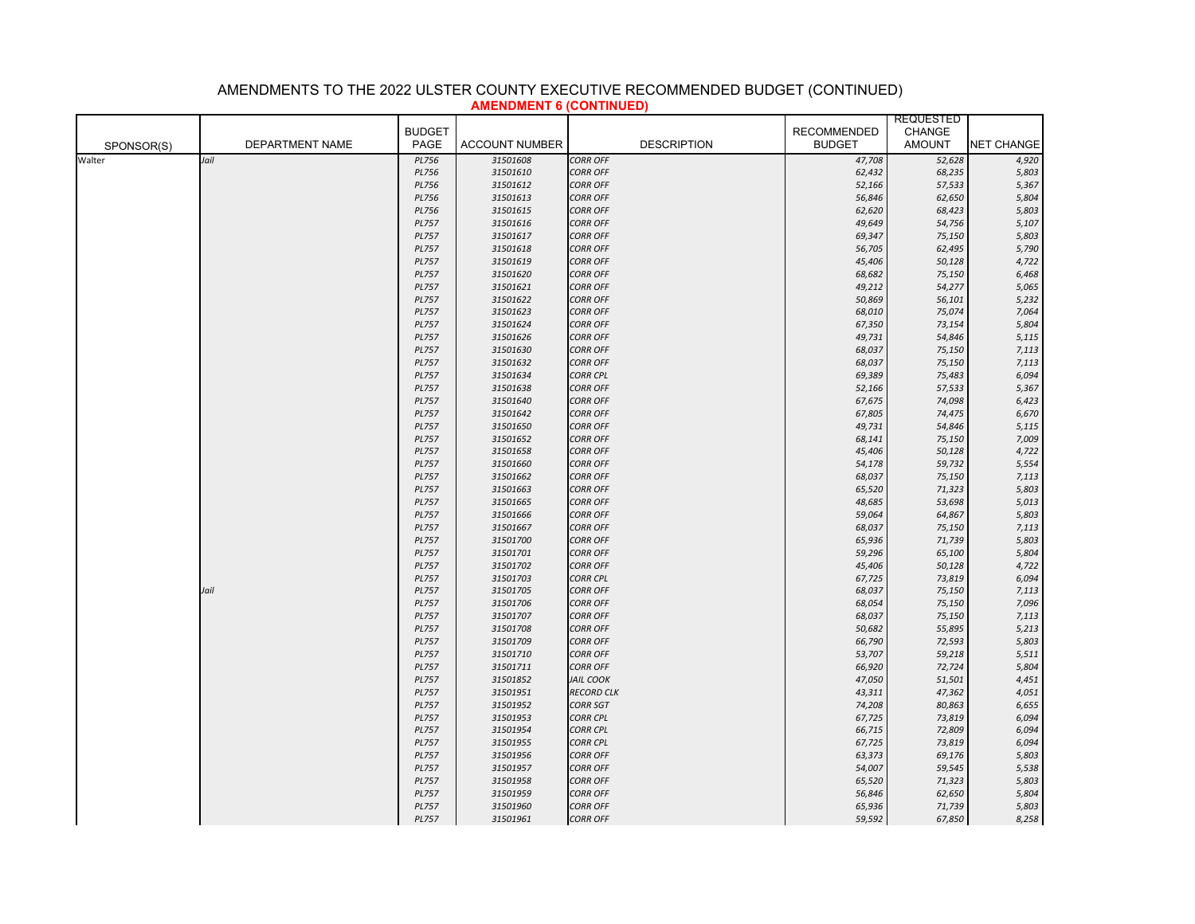|            |                        |                              |                       |                                    |                    | <b>REQUESTED</b> |                   |
|------------|------------------------|------------------------------|-----------------------|------------------------------------|--------------------|------------------|-------------------|
|            |                        | <b>BUDGET</b>                |                       |                                    | <b>RECOMMENDED</b> | CHANGE           |                   |
| SPONSOR(S) | <b>DEPARTMENT NAME</b> | PAGE                         | <b>ACCOUNT NUMBER</b> | <b>DESCRIPTION</b>                 | <b>BUDGET</b>      | <b>AMOUNT</b>    | <b>NET CHANGE</b> |
| Walter     | Jail                   | <b>PL756</b>                 | 31501608              | <b>CORR OFF</b>                    | 47,708             | 52,628           | 4,920             |
|            |                        | <b>PL756</b>                 | 31501610              | <b>CORR OFF</b>                    | 62,432             | 68,235           | 5,803             |
|            |                        | <b>PL756</b>                 | 31501612              | <b>CORR OFF</b>                    | 52,166             | 57,533           | 5,367             |
|            |                        | <b>PL756</b>                 | 31501613              | <b>CORR OFF</b>                    | 56,846             | 62,650           | 5,804             |
|            |                        | <b>PL756</b>                 | 31501615              | <b>CORR OFF</b>                    | 62,620             | 68,423           | 5,803             |
|            |                        | <b>PL757</b>                 | 31501616              | <b>CORR OFF</b>                    | 49,649             | 54,756           | 5,107             |
|            |                        | <b>PL757</b>                 | 31501617              | <b>CORR OFF</b>                    | 69,347             | 75,150           | 5,803             |
|            |                        | <b>PL757</b>                 | 31501618              | <b>CORR OFF</b>                    | 56,705             | 62,495           | 5,790             |
|            |                        | <b>PL757</b>                 | 31501619              | <b>CORR OFF</b>                    | 45,406             | 50,128           | 4,722             |
|            |                        | <b>PL757</b>                 | 31501620              | <b>CORR OFF</b>                    | 68,682             | 75,150           | 6,468             |
|            |                        | <b>PL757</b>                 | 31501621              | <b>CORR OFF</b>                    | 49,212             | 54,277           | 5,065             |
|            |                        | <b>PL757</b>                 | 31501622              | <b>CORR OFF</b>                    | 50,869             | 56,101           | 5,232             |
|            |                        | <b>PL757</b>                 | 31501623              | <b>CORR OFF</b>                    | 68,010             | 75,074           | 7,064             |
|            |                        | <b>PL757</b>                 | 31501624              | <b>CORR OFF</b>                    | 67,350             | 73,154           | 5,804             |
|            |                        | <b>PL757</b>                 | 31501626              | <b>CORR OFF</b>                    | 49,731             | 54,846           | 5,115             |
|            |                        | <b>PL757</b>                 | 31501630              | <b>CORR OFF</b>                    | 68,037             | 75,150           | 7,113             |
|            |                        | <b>PL757</b>                 | 31501632              | <b>CORR OFF</b>                    | 68,037             | 75,150           | 7,113             |
|            |                        | <b>PL757</b>                 | 31501634              | <b>CORR CPL</b>                    | 69,389             | 75,483           | 6,094             |
|            |                        | <b>PL757</b>                 | 31501638              | <b>CORR OFF</b>                    | 52,166             | 57,533           | 5,367             |
|            |                        | <b>PL757</b>                 | 31501640              | <b>CORR OFF</b>                    | 67,675             | 74,098           | 6,423             |
|            |                        | <b>PL757</b>                 | 31501642              | <b>CORR OFF</b>                    | 67,805             | 74,475           | 6,670             |
|            |                        | <b>PL757</b>                 | 31501650              | <b>CORR OFF</b>                    | 49,731             | 54,846           | 5,115             |
|            |                        | <b>PL757</b>                 | 31501652              | <b>CORR OFF</b>                    | 68,141             | 75,150           | 7,009             |
|            |                        | <b>PL757</b>                 | 31501658              | <b>CORR OFF</b>                    | 45,406             | 50,128           | 4,722             |
|            |                        | <b>PL757</b>                 | 31501660              | <b>CORR OFF</b>                    | 54,178             | 59,732           | 5,554             |
|            |                        | <b>PL757</b>                 | 31501662              | <b>CORR OFF</b>                    | 68,037             | 75,150           | 7,113             |
|            |                        | <b>PL757</b>                 | 31501663<br>31501665  | <b>CORR OFF</b>                    | 65,520             | 71,323           | 5,803             |
|            |                        | <b>PL757</b>                 |                       | <b>CORR OFF</b>                    | 48,685             | 53,698           | 5,013             |
|            |                        | <b>PL757</b><br><b>PL757</b> | 31501666<br>31501667  | <b>CORR OFF</b><br><b>CORR OFF</b> | 59,064<br>68,037   | 64,867<br>75,150 | 5,803<br>7,113    |
|            |                        | <b>PL757</b>                 | 31501700              | <b>CORR OFF</b>                    | 65,936             |                  |                   |
|            |                        | <b>PL757</b>                 | 31501701              | <b>CORR OFF</b>                    | 59,296             | 71,739<br>65,100 | 5,803<br>5,804    |
|            |                        | <b>PL757</b>                 | 31501702              | <b>CORR OFF</b>                    | 45,406             | 50,128           | 4,722             |
|            |                        | <b>PL757</b>                 | 31501703              | <b>CORR CPL</b>                    | 67,725             | 73,819           | 6,094             |
|            | Jail                   | <b>PL757</b>                 | 31501705              | <b>CORR OFF</b>                    | 68,037             | 75,150           | 7,113             |
|            |                        | <b>PL757</b>                 | 31501706              | <b>CORR OFF</b>                    | 68,054             | 75,150           | 7,096             |
|            |                        | <b>PL757</b>                 | 31501707              | <b>CORR OFF</b>                    | 68,037             | 75,150           | 7,113             |
|            |                        | <b>PL757</b>                 | 31501708              | <b>CORR OFF</b>                    | 50,682             | 55,895           | 5,213             |
|            |                        | <b>PL757</b>                 | 31501709              | <b>CORR OFF</b>                    | 66,790             | 72,593           | 5,803             |
|            |                        | <b>PL757</b>                 | 31501710              | <b>CORR OFF</b>                    | 53,707             | 59,218           | 5,511             |
|            |                        | <b>PL757</b>                 | 31501711              | <b>CORR OFF</b>                    | 66,920             | 72,724           | 5,804             |
|            |                        | <b>PL757</b>                 | 31501852              | <b>JAIL COOK</b>                   | 47,050             | 51,501           | 4,451             |
|            |                        | <b>PL757</b>                 | 31501951              | <b>RECORD CLK</b>                  | 43,311             | 47,362           | 4,051             |
|            |                        | <b>PL757</b>                 | 31501952              | <b>CORR SGT</b>                    | 74,208             | 80,863           | 6,655             |
|            |                        | <b>PL757</b>                 | 31501953              | <b>CORR CPL</b>                    | 67,725             | 73,819           | 6,094             |
|            |                        | <b>PL757</b>                 | 31501954              | <b>CORR CPL</b>                    | 66,715             | 72,809           | 6,094             |
|            |                        | <b>PL757</b>                 | 31501955              | <b>CORR CPL</b>                    | 67,725             | 73,819           | 6,094             |
|            |                        | <b>PL757</b>                 | 31501956              | <b>CORR OFF</b>                    | 63,373             | 69,176           | 5,803             |
|            |                        | <b>PL757</b>                 | 31501957              | <b>CORR OFF</b>                    | 54,007             | 59,545           | 5,538             |
|            |                        | <b>PL757</b>                 | 31501958              | <b>CORR OFF</b>                    | 65,520             | 71,323           | 5,803             |
|            |                        | <b>PL757</b>                 | 31501959              | <b>CORR OFF</b>                    | 56,846             | 62,650           | 5,804             |
|            |                        | <b>PL757</b>                 | 31501960              | <b>CORR OFF</b>                    | 65,936             | 71,739           | 5,803             |
|            |                        | <b>PL757</b>                 | 31501961              | <b>CORR OFF</b>                    | 59,592             | 67,850           | 8,258             |

# AMENDMENTS TO THE 2022 ULSTER COUNTY EXECUTIVE RECOMMENDED BUDGET (CONTINUED) **AMENDMENT 6 (CONTINUED)**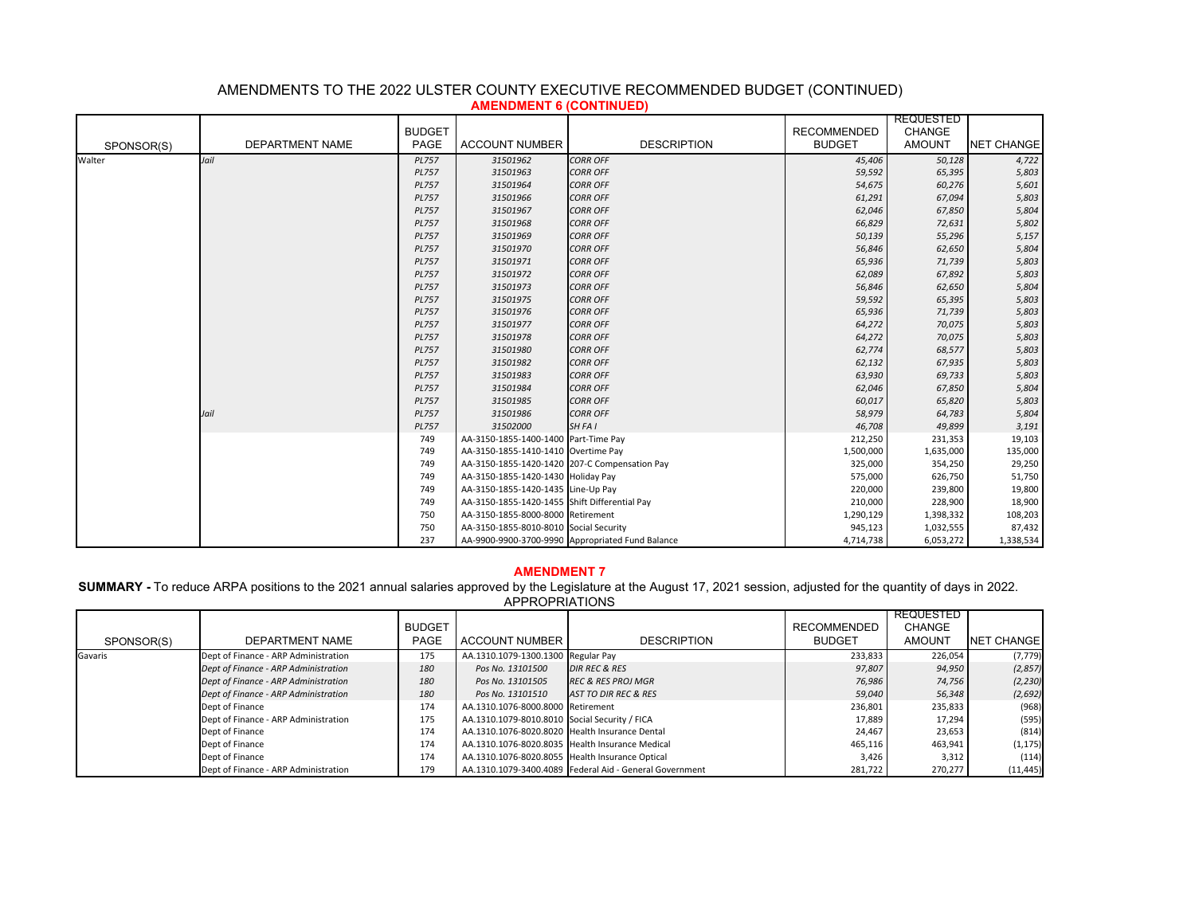|            | AMERDMENT VIVOITINGED<br><b>REQUESTED</b> |               |                                               |                                                  |                    |               |                   |
|------------|-------------------------------------------|---------------|-----------------------------------------------|--------------------------------------------------|--------------------|---------------|-------------------|
|            |                                           | <b>BUDGET</b> |                                               |                                                  | <b>RECOMMENDED</b> | <b>CHANGE</b> |                   |
| SPONSOR(S) | <b>DEPARTMENT NAME</b>                    | PAGE          | <b>ACCOUNT NUMBER</b>                         | <b>DESCRIPTION</b>                               | <b>BUDGET</b>      | <b>AMOUNT</b> | <b>NET CHANGE</b> |
| Walter     | Jail                                      | <b>PL757</b>  | 31501962                                      | <b>CORR OFF</b>                                  | 45,406             | 50,128        | 4,722             |
|            |                                           | <b>PL757</b>  | 31501963                                      | <b>CORR OFF</b>                                  | 59,592             | 65,395        | 5,803             |
|            |                                           | <b>PL757</b>  | 31501964                                      | <b>CORR OFF</b>                                  | 54,675             | 60,276        | 5,601             |
|            |                                           | <b>PL757</b>  | 31501966                                      | <b>CORR OFF</b>                                  | 61,291             | 67,094        | 5,803             |
|            |                                           | <b>PL757</b>  | 31501967                                      | <b>CORR OFF</b>                                  | 62,046             | 67,850        | 5,804             |
|            |                                           | <b>PL757</b>  | 31501968                                      | <b>CORR OFF</b>                                  | 66,829             | 72,631        | 5,802             |
|            |                                           | <b>PL757</b>  | 31501969                                      | <b>CORR OFF</b>                                  | 50,139             | 55,296        | 5,157             |
|            |                                           | <b>PL757</b>  | 31501970                                      | <b>CORR OFF</b>                                  | 56,846             | 62,650        | 5,804             |
|            |                                           | <b>PL757</b>  | 31501971                                      | <b>CORR OFF</b>                                  | 65,936             | 71,739        | 5,803             |
|            |                                           | <b>PL757</b>  | 31501972                                      | <b>CORR OFF</b>                                  | 62,089             | 67,892        | 5,803             |
|            |                                           | <b>PL757</b>  | 31501973                                      | <b>CORR OFF</b>                                  | 56,846             | 62,650        | 5,804             |
|            |                                           | <b>PL757</b>  | 31501975                                      | <b>CORR OFF</b>                                  | 59,592             | 65,395        | 5,803             |
|            |                                           | <b>PL757</b>  | 31501976                                      | <b>CORR OFF</b>                                  | 65,936             | 71,739        | 5,803             |
|            |                                           | <b>PL757</b>  | 31501977                                      | <b>CORR OFF</b>                                  | 64,272             | 70,075        | 5,803             |
|            |                                           | <b>PL757</b>  | 31501978                                      | <b>CORR OFF</b>                                  | 64,272             | 70,075        | 5,803             |
|            |                                           | <b>PL757</b>  | 31501980                                      | <b>CORR OFF</b>                                  | 62,774             | 68,577        | 5,803             |
|            |                                           | <b>PL757</b>  | 31501982                                      | <b>CORR OFF</b>                                  | 62,132             | 67,935        | 5,803             |
|            |                                           | <b>PL757</b>  | 31501983                                      | <b>CORR OFF</b>                                  | 63,930             | 69,733        | 5,803             |
|            |                                           | <b>PL757</b>  | 31501984                                      | <b>CORR OFF</b>                                  | 62,046             | 67,850        | 5,804             |
|            |                                           | <b>PL757</b>  | 31501985                                      | <b>CORR OFF</b>                                  | 60,017             | 65,820        | 5,803             |
|            | Jail                                      | <b>PL757</b>  | 31501986                                      | <b>CORR OFF</b>                                  | 58,979             | 64,783        | 5,804             |
|            |                                           | <b>PL757</b>  | 31502000                                      | SH FA I                                          | 46,708             | 49,899        | 3,191             |
|            |                                           | 749           | AA-3150-1855-1400-1400 Part-Time Pay          |                                                  | 212,250            | 231,353       | 19,103            |
|            |                                           | 749           | AA-3150-1855-1410-1410 Overtime Pay           |                                                  | 1,500,000          | 1,635,000     | 135,000           |
|            |                                           | 749           | AA-3150-1855-1420-1420 207-C Compensation Pay |                                                  | 325,000            | 354,250       | 29,250            |
|            |                                           | 749           | AA-3150-1855-1420-1430 Holiday Pay            |                                                  | 575,000            | 626,750       | 51,750            |
|            |                                           | 749           | AA-3150-1855-1420-1435 Line-Up Pay            |                                                  | 220,000            | 239,800       | 19,800            |
|            |                                           | 749           | AA-3150-1855-1420-1455 Shift Differential Pay |                                                  | 210,000            | 228,900       | 18,900            |
|            |                                           | 750           | AA-3150-1855-8000-8000 Retirement             |                                                  | 1,290,129          | 1,398,332     | 108,203           |
|            |                                           | 750           | AA-3150-1855-8010-8010 Social Security        |                                                  | 945,123            | 1,032,555     | 87,432            |
|            |                                           | 237           |                                               | AA-9900-9900-3700-9990 Appropriated Fund Balance | 4,714,738          | 6,053,272     | 1,338,534         |

# AMENDMENTS TO THE 2022 ULSTER COUNTY EXECUTIVE RECOMMENDED BUDGET (CONTINUED) **AMENDMENT 6 (CONTINUED)**

# **AMENDMENT 7**

**SUMMARY -** To reduce ARPA positions to the 2021 annual salaries approved by the Legislature at the August 17, 2021 session, adjusted for the quantity of days in 2022.

| SPONSOR(S) | DEPARTMENT NAME                      | <b>BUDGET</b><br><b>PAGE</b> | <b>ACCOUNT NUMBER</b>                           | <b>DESCRIPTION</b>                                      | <b>RECOMMENDED</b><br><b>BUDGET</b> | REQUESTED<br>CHANGE<br><b>AMOUNT</b> | <b>NET CHANGE</b> |
|------------|--------------------------------------|------------------------------|-------------------------------------------------|---------------------------------------------------------|-------------------------------------|--------------------------------------|-------------------|
| Gavaris    | Dept of Finance - ARP Administration | 175                          | AA.1310.1079-1300.1300 Regular Pay              |                                                         | 233,833                             | 226,054                              | (7, 779)          |
|            | Dept of Finance - ARP Administration | 180                          | Pos No. 13101500                                | <b>DIR REC &amp; RES</b>                                | 97,807                              | 94,950                               | (2,857)           |
|            | Dept of Finance - ARP Administration | 180                          | Pos No. 13101505                                | <b>REC &amp; RES PROJ MGR</b>                           | 76,986                              | 74,756                               | (2, 230)          |
|            | Dept of Finance - ARP Administration | 180                          | Pos No. 13101510                                | <b>AST TO DIR REC &amp; RES</b>                         | 59,040                              | 56,348                               | (2,692)           |
|            | Dept of Finance                      | 174                          | AA.1310.1076-8000.8000 Retirement               |                                                         | 236,801                             | 235,833                              | (968)             |
|            | Dept of Finance - ARP Administration | 175                          | AA.1310.1079-8010.8010 Social Security / FICA   |                                                         | 17,889                              | 17,294                               | (595)             |
|            | Dept of Finance                      | 174                          | AA.1310.1076-8020.8020 Health Insurance Dental  |                                                         | 24.467                              | 23,653                               | (814)             |
|            | Dept of Finance                      | 174                          | AA.1310.1076-8020.8035 Health Insurance Medical |                                                         | 465,116                             | 463,941                              | (1, 175)          |
|            | Dept of Finance                      | 174                          | AA.1310.1076-8020.8055 Health Insurance Optical |                                                         | 3,426                               | 3,312                                | (114)             |
|            | Dept of Finance - ARP Administration | 179                          |                                                 | AA.1310.1079-3400.4089 Federal Aid - General Government | 281,722                             | 270,277                              | (11, 445)         |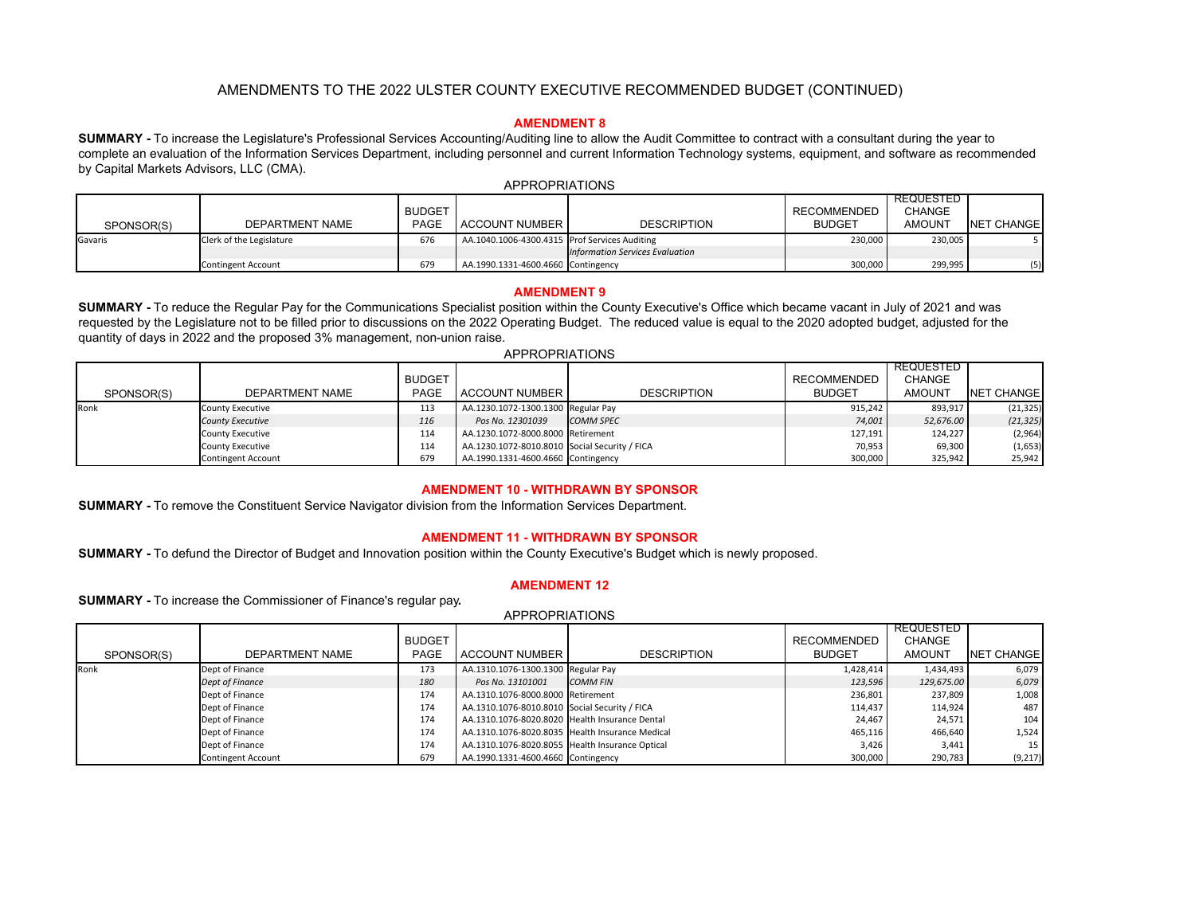# **AMENDMENT 8**

**SUMMARY -** To increase the Legislature's Professional Services Accounting/Auditing line to allow the Audit Committee to contract with a consultant during the year to complete an evaluation of the Information Services Department, including personnel and current Information Technology systems, equipment, and software as recommended by Capital Markets Advisors, LLC (CMA). APPROPRIATIONS

|            |                           |               |                                               |                                        |               | <b>REQUESTED</b> |            |  |  |  |  |  |
|------------|---------------------------|---------------|-----------------------------------------------|----------------------------------------|---------------|------------------|------------|--|--|--|--|--|
|            |                           | <b>BUDGET</b> |                                               |                                        | RECOMMENDED   | CHANGE           |            |  |  |  |  |  |
| SPONSOR(S) | DEPARTMENT NAME           | <b>PAGE</b>   | ACCOUNT NUMBER                                | <b>DESCRIPTION</b>                     | <b>BUDGET</b> | AMOUNT           | NET CHANGE |  |  |  |  |  |
| Gavaris    | Clerk of the Legislature  | 676           | AA.1040.1006-4300.4315 Prof Services Auditing |                                        | 230,000       | 230,005          |            |  |  |  |  |  |
|            |                           |               |                                               | <b>Information Services Evaluation</b> |               |                  |            |  |  |  |  |  |
|            | <b>Contingent Account</b> | 679           | AA.1990.1331-4600.4660 Contingency            |                                        | 300,000       | 299,995          | (5)        |  |  |  |  |  |

#### **AMENDMENT 9**

**SUMMARY -** To reduce the Regular Pay for the Communications Specialist position within the County Executive's Office which became vacant in July of 2021 and was requested by the Legislature not to be filled prior to discussions on the 2022 Operating Budget. The reduced value is equal to the 2020 adopted budget, adjusted for the quantity of days in 2022 and the proposed 3% management, non-union raise.

| SPONSOR(S) | <b>DEPARTMENT NAME</b>    | <b>BUDGET</b><br>PAGE | ACCOUNT NUMBER                                | <b>DESCRIPTION</b> | RECOMMENDED<br><b>BUDGET</b> | <b>REQUESTED</b><br><b>CHANGE</b><br><b>AMOUNT</b> | NET CHANGE |
|------------|---------------------------|-----------------------|-----------------------------------------------|--------------------|------------------------------|----------------------------------------------------|------------|
| Ronk       | <b>County Executive</b>   | 113                   | AA.1230.1072-1300.1300 Regular Pay            |                    | 915.242                      | 893.917                                            | (21, 325)  |
|            | <b>County Executive</b>   | 116                   | Pos No. 12301039                              | <b>COMM SPEC</b>   | 74,001                       | 52,676.00                                          | (21, 325)  |
|            | <b>County Executive</b>   | 114                   | AA.1230.1072-8000.8000 Retirement             |                    | 127,191                      | 124,227                                            | (2,964)    |
|            | <b>County Executive</b>   | 114                   | AA.1230.1072-8010.8010 Social Security / FICA |                    | 70,953                       | 69,300                                             | (1,653)    |
|            | <b>Contingent Account</b> | 679                   | AA.1990.1331-4600.4660 Contingency            |                    | 300,000                      | 325,942                                            | 25,942     |

### **AMENDMENT 10 - WITHDRAWN BY SPONSOR**

**SUMMARY -** To remove the Constituent Service Navigator division from the Information Services Department.

#### **AMENDMENT 11 - WITHDRAWN BY SPONSOR**

**SUMMARY -** To defund the Director of Budget and Innovation position within the County Executive's Budget which is newly proposed.

#### **AMENDMENT 12**

**SUMMARY -** To increase the Commissioner of Finance's regular pay**.**

|            |                           | <b>BUDGET</b> |                                                 |                    | <b>RECOMMENDED</b> | REQUESTED<br><b>CHANGE</b> |                   |
|------------|---------------------------|---------------|-------------------------------------------------|--------------------|--------------------|----------------------------|-------------------|
| SPONSOR(S) | DEPARTMENT NAME           | <b>PAGE</b>   | <b>ACCOUNT NUMBER</b>                           | <b>DESCRIPTION</b> | <b>BUDGET</b>      | <b>AMOUNT</b>              | <b>NET CHANGE</b> |
| Ronk       | Dept of Finance           | 173           | AA.1310.1076-1300.1300 Regular Pay              |                    | 1,428,414          | 1,434,493                  | 6,079             |
|            | Dept of Finance           | 180           | Pos No. 13101001                                | <b>COMM FIN</b>    | 123,596            | 129,675.00                 | 6,079             |
|            | Dept of Finance           | 174           | AA.1310.1076-8000.8000 Retirement               |                    | 236.801            | 237.809                    | 1,008             |
|            | Dept of Finance           | 174           | AA.1310.1076-8010.8010 Social Security / FICA   |                    | 114,437            | 114.924                    | 487               |
|            | Dept of Finance           | 174           | AA.1310.1076-8020.8020 Health Insurance Dental  |                    | 24,467             | 24,571                     | 104               |
|            | Dept of Finance           | 174           | AA.1310.1076-8020.8035 Health Insurance Medical |                    | 465,116            | 466.640                    | 1,524             |
|            | Dept of Finance           | 174           | AA.1310.1076-8020.8055 Health Insurance Optical |                    | 3,426              | 3.441                      | 15 <sup>1</sup>   |
|            | <b>Contingent Account</b> | 679           | AA.1990.1331-4600.4660 Contingency              |                    | 300,000            | 290,783                    | (9, 217)          |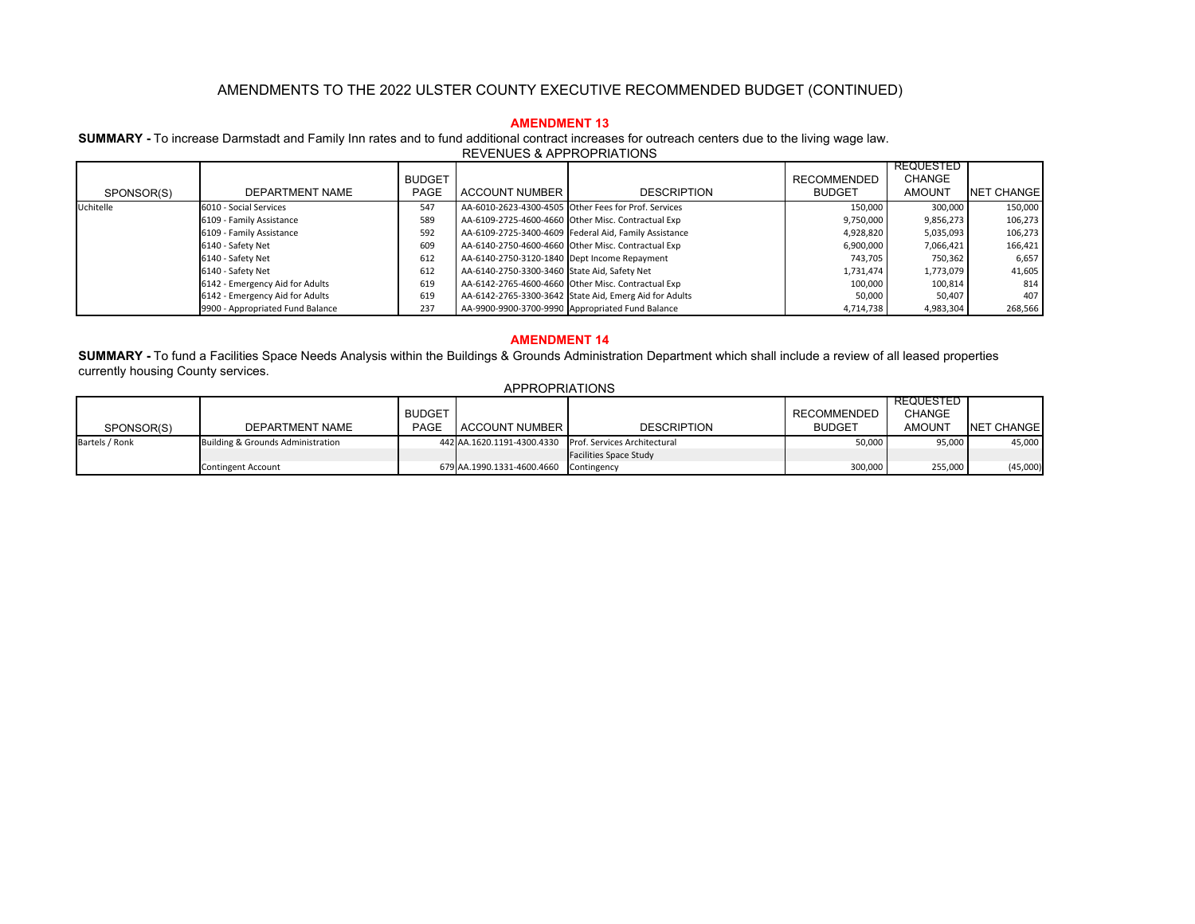## **AMENDMENT 13**

**SUMMARY -** To increase Darmstadt and Family Inn rates and to fund additional contract increases for outreach centers due to the living wage law.

| REVENUES & APPROPRIATIONS |  |
|---------------------------|--|
|---------------------------|--|

|            |                                  |               |                                              |                                                        |                    | REQUESTED     |                   |
|------------|----------------------------------|---------------|----------------------------------------------|--------------------------------------------------------|--------------------|---------------|-------------------|
|            |                                  | <b>BUDGET</b> |                                              |                                                        | <b>RECOMMENDED</b> | <b>CHANGE</b> |                   |
| SPONSOR(S) | DEPARTMENT NAME                  | PAGE          | <b>ACCOUNT NUMBER</b>                        | <b>DESCRIPTION</b>                                     | <b>BUDGET</b>      | <b>AMOUNT</b> | <b>NET CHANGE</b> |
| Uchitelle  | 6010 - Social Services           | 547           |                                              | AA-6010-2623-4300-4505 Other Fees for Prof. Services   | 150.000            | 300.000       | 150,000           |
|            | 6109 - Family Assistance         | 589           |                                              | AA-6109-2725-4600-4660 Other Misc. Contractual Exp     | 9,750,000          | 9,856,273     | 106,273           |
|            | 6109 - Family Assistance         | 592           |                                              | AA-6109-2725-3400-4609 Federal Aid, Family Assistance  | 4,928,820          | 5,035,093     | 106,273           |
|            | 6140 - Safety Net                | 609           |                                              | AA-6140-2750-4600-4660 Other Misc. Contractual Exp     | 6,900,000          | 7,066,421     | 166,421           |
|            | 6140 - Safety Net                | 612           | AA-6140-2750-3120-1840 Dept Income Repayment |                                                        | 743,705            | 750,362       | 6,657             |
|            | 6140 - Safety Net                | 612           | AA-6140-2750-3300-3460 State Aid, Safety Net |                                                        | 1,731,474          | 1,773,079     | 41,605            |
|            | 6142 - Emergency Aid for Adults  | 619           |                                              | AA-6142-2765-4600-4660 Other Misc. Contractual Exp     | 100,000            | 100,814       | 814               |
|            | 6142 - Emergency Aid for Adults  | 619           |                                              | AA-6142-2765-3300-3642 State Aid, Emerg Aid for Adults | 50,000             | 50,407        | 407               |
|            | 9900 - Appropriated Fund Balance | 237           |                                              | AA-9900-9900-3700-9990 Appropriated Fund Balance       | 4,714,738          | 4,983,304     | 268,566           |

#### **AMENDMENT 14**

 **SUMMARY -** To fund a Facilities Space Needs Analysis within the Buildings & Grounds Administration Department which shall include a review of all leased properties currently housing County services.

|                |                                   |               |                                        |                                                         |                    | <b>REQUESTED</b> |                   |
|----------------|-----------------------------------|---------------|----------------------------------------|---------------------------------------------------------|--------------------|------------------|-------------------|
|                |                                   | <b>BUDGET</b> |                                        |                                                         | <b>RECOMMENDED</b> | <b>CHANGE</b>    |                   |
| SPONSOR(S)     | DEPARTMENT NAME                   | PAGE          | <b>ACCOUNT NUMBER</b>                  | <b>DESCRIPTION</b>                                      | <b>BUDGET</b>      | AMOUNT           | <b>NET CHANGE</b> |
| Bartels / Ronk | Building & Grounds Administration |               |                                        | 442 AA.1620.1191-4300.4330 Prof. Services Architectural | 50,000             | 95,000           | 45,000            |
|                |                                   |               |                                        | <b>Facilities Space Study</b>                           |                    |                  |                   |
|                | <b>Contingent Account</b>         |               | 679 AA.1990.1331-4600.4660 Contingency |                                                         | 300,000            | 255,000          | (45,000)          |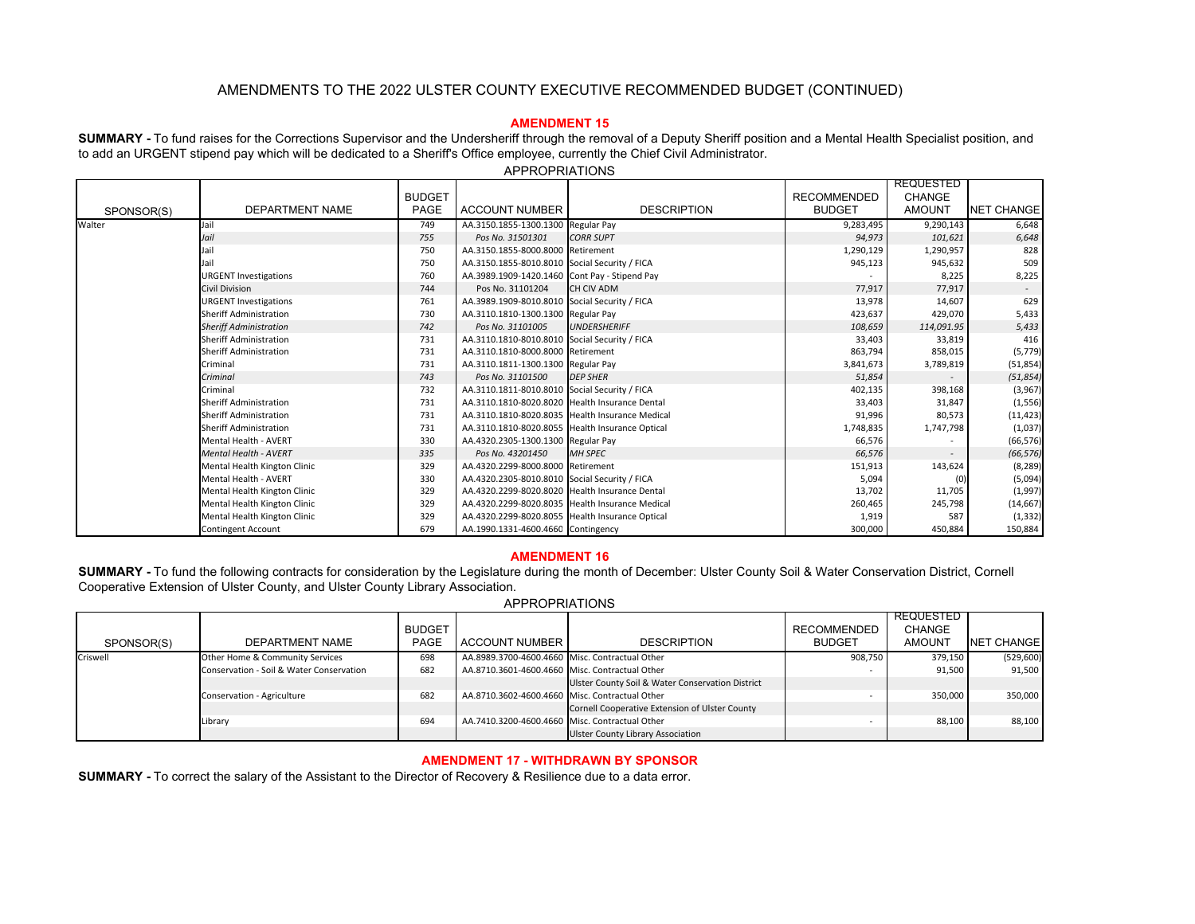# **AMENDMENT 15**

**SUMMARY -** To fund raises for the Corrections Supervisor and the Undersheriff through the removal of a Deputy Sheriff position and a Mental Health Specialist position, and to add an URGENT stipend pay which will be dedicated to a Sheriff's Office employee, currently the Chief Civil Administrator.

|            |                               |               |                                                 |                                               |                    | REQUESTED                |                   |
|------------|-------------------------------|---------------|-------------------------------------------------|-----------------------------------------------|--------------------|--------------------------|-------------------|
|            |                               | <b>BUDGET</b> |                                                 |                                               | <b>RECOMMENDED</b> | <b>CHANGE</b>            |                   |
| SPONSOR(S) | <b>DEPARTMENT NAME</b>        | PAGE          | <b>ACCOUNT NUMBER</b>                           | <b>DESCRIPTION</b>                            | <b>BUDGET</b>      | <b>AMOUNT</b>            | <b>NET CHANGE</b> |
| Walter     | Jail                          | 749           | AA.3150.1855-1300.1300 Regular Pay              |                                               | 9,283,495          | 9,290,143                | 6,648             |
|            | Jail                          | 755           | Pos No. 31501301                                | <b>CORR SUPT</b>                              | 94,973             | 101,621                  | 6,648             |
|            |                               | 750           | AA.3150.1855-8000.8000 Retirement               |                                               | 1,290,129          | 1,290,957                | 828               |
|            |                               | 750           | AA.3150.1855-8010.8010 Social Security / FICA   |                                               | 945,123            | 945,632                  | 509               |
|            | <b>URGENT Investigations</b>  | 760           | AA.3989.1909-1420.1460 Cont Pay - Stipend Pay   |                                               |                    | 8,225                    | 8,225             |
|            | <b>Civil Division</b>         | 744           | Pos No. 31101204                                | CH CIV ADM                                    | 77,917             | 77,917                   |                   |
|            | <b>URGENT Investigations</b>  | 761           | AA.3989.1909-8010.8010 Social Security / FICA   |                                               | 13,978             | 14,607                   | 629               |
|            | <b>Sheriff Administration</b> | 730           | AA.3110.1810-1300.1300 Regular Pay              |                                               | 423,637            | 429,070                  | 5,433             |
|            | <b>Sheriff Administration</b> | 742           | Pos No. 31101005                                | <b>UNDERSHERIFF</b>                           | 108,659            | 114,091.95               | 5,433             |
|            | Sheriff Administration        | 731           | AA.3110.1810-8010.8010 Social Security / FICA   |                                               | 33,403             | 33,819                   | 416               |
|            | <b>Sheriff Administration</b> | 731           | AA.3110.1810-8000.8000 Retirement               |                                               | 863,794            | 858,015                  | (5, 779)          |
|            | Criminal                      | 731           | AA.3110.1811-1300.1300 Regular Pay              |                                               | 3,841,673          | 3,789,819                | (51, 854)         |
|            | Criminal                      | 743           | Pos No. 31101500                                | <b>DEP SHER</b>                               |                    | $\overline{\phantom{a}}$ | (51, 854)         |
|            | Criminal                      | 732           |                                                 | AA.3110.1811-8010.8010 Social Security / FICA |                    | 398,168                  | (3,967)           |
|            | <b>Sheriff Administration</b> | 731           | AA.3110.1810-8020.8020 Health Insurance Dental  |                                               | 33,403             | 31,847                   | (1, 556)          |
|            | Sheriff Administration        | 731           | AA.3110.1810-8020.8035 Health Insurance Medical |                                               | 91,996             | 80,573                   | (11, 423)         |
|            | Sheriff Administration        | 731           | AA.3110.1810-8020.8055 Health Insurance Optical |                                               | 1,748,835          | 1,747,798                | (1,037)           |
|            | <b>Mental Health - AVERT</b>  | 330           | AA.4320.2305-1300.1300 Regular Pay              |                                               | 66,576             |                          | (66, 576)         |
|            | <b>Mental Health - AVERT</b>  | 335           | Pos No. 43201450                                | <b>MH SPEC</b>                                | 66,576             |                          | (66, 576)         |
|            | Mental Health Kington Clinic  | 329           | AA.4320.2299-8000.8000 Retirement               |                                               | 151,913            | 143,624                  | (8, 289)          |
|            | <b>Mental Health - AVERT</b>  | 330           | AA.4320.2305-8010.8010 Social Security / FICA   |                                               | 5,094              |                          | (5,094)           |
|            | Mental Health Kington Clinic  | 329           | AA.4320.2299-8020.8020 Health Insurance Dental  |                                               | 13,702             | 11,705                   | (1,997)           |
|            | Mental Health Kington Clinic  | 329           | AA.4320.2299-8020.8035 Health Insurance Medical |                                               | 260,465            | 245,798                  | (14, 667)         |
|            | Mental Health Kington Clinic  | 329           | AA.4320.2299-8020.8055 Health Insurance Optical |                                               | 1,919              | 587                      | (1, 332)          |
|            | <b>Contingent Account</b>     | 679           | AA.1990.1331-4600.4660 Contingency              |                                               | 300,000            | 450,884                  | 150,884           |

APPROPRIATIONS

### **AMENDMENT 16**

**SUMMARY -** To fund the following contracts for consideration by the Legislature during the month of December: Ulster County Soil & Water Conservation District, Cornell Cooperative Extension of Ulster County, and Ulster County Library Association.

#### APPROPRIATIONS

|            |                                          |               |                                                |                                                  |               | <b>REQUESTED</b> |                   |
|------------|------------------------------------------|---------------|------------------------------------------------|--------------------------------------------------|---------------|------------------|-------------------|
|            |                                          | <b>BUDGET</b> |                                                |                                                  | RECOMMENDED   | <b>CHANGE</b>    |                   |
| SPONSOR(S) | DEPARTMENT NAME                          | <b>PAGE</b>   | <b>ACCOUNT NUMBER</b>                          | <b>DESCRIPTION</b>                               | <b>BUDGET</b> | <b>AMOUNT</b>    | <b>NET CHANGE</b> |
| Criswell   | Other Home & Community Services          | 698           | AA.8989.3700-4600.4660 Misc. Contractual Other |                                                  | 908.750       | 379,150          | (529, 600)        |
|            | Conservation - Soil & Water Conservation | 682           | AA.8710.3601-4600.4660 Misc. Contractual Other |                                                  |               | 91,500           | 91,500            |
|            |                                          |               |                                                | Ulster County Soil & Water Conservation District |               |                  |                   |
|            | Conservation - Agriculture               | 682           | AA.8710.3602-4600.4660 Misc. Contractual Other |                                                  |               | 350,000          | 350,000           |
|            |                                          |               |                                                | Cornell Cooperative Extension of Ulster County   |               |                  |                   |
|            | Library                                  | 694           | AA.7410.3200-4600.4660 Misc. Contractual Other |                                                  |               | 88,100           | 88,100            |
|            |                                          |               |                                                | <b>Ulster County Library Association</b>         |               |                  |                   |

### **AMENDMENT 17 - WITHDRAWN BY SPONSOR**

**SUMMARY -** To correct the salary of the Assistant to the Director of Recovery & Resilience due to a data error.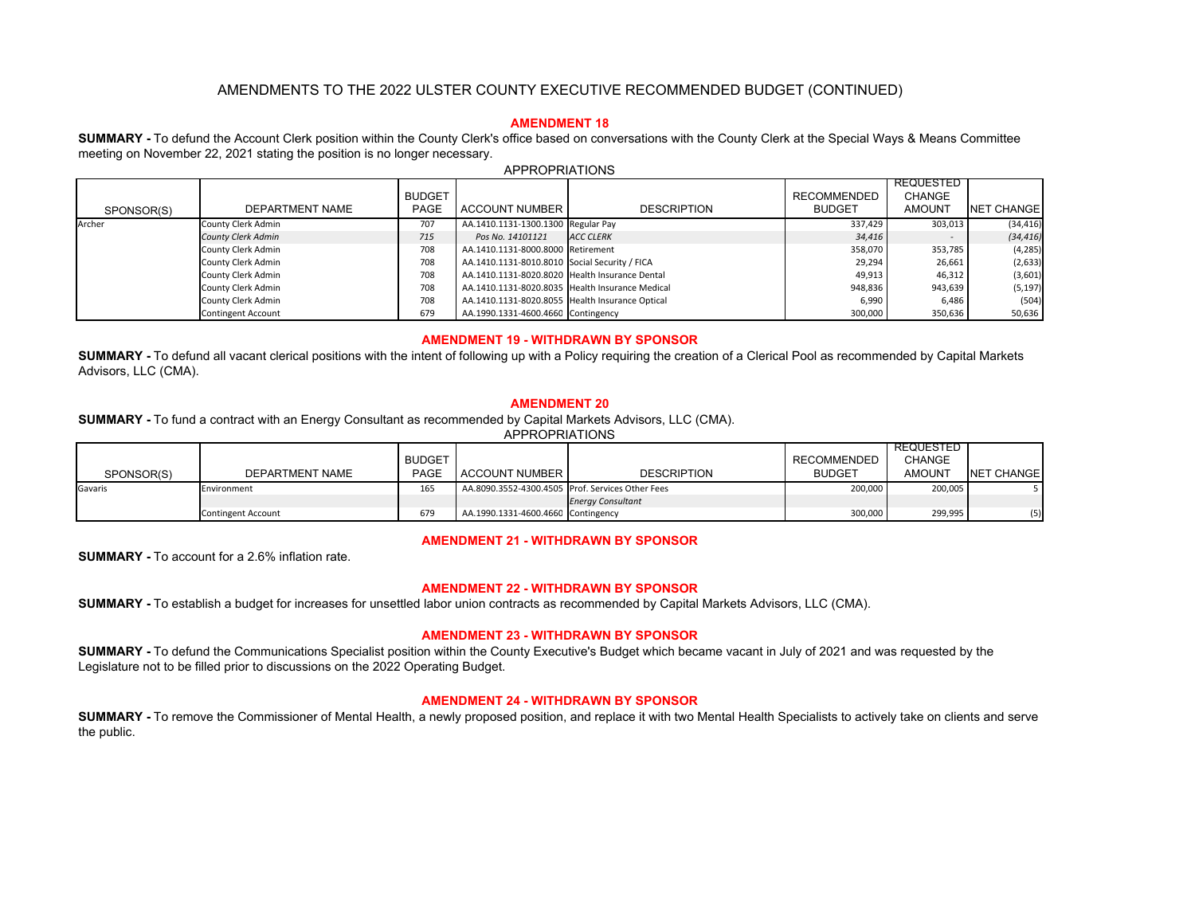# **AMENDMENT 18**

**SUMMARY -** To defund the Account Clerk position within the County Clerk's office based on conversations with the County Clerk at the Special Ways & Means Committee meeting on November 22, 2021 stating the position is no longer necessary.

|            |                           | <b>BUDGET</b> |                                                 |                    | <b>RECOMMENDED</b> | REQUESTED<br>CHANGE |                    |
|------------|---------------------------|---------------|-------------------------------------------------|--------------------|--------------------|---------------------|--------------------|
| SPONSOR(S) | DEPARTMENT NAME           | <b>PAGE</b>   | ACCOUNT NUMBER                                  | <b>DESCRIPTION</b> | <b>BUDGET</b>      | <b>AMOUNT</b>       | <b>NET CHANGEL</b> |
| Archer     | County Clerk Admin        | 707           | AA.1410.1131-1300.1300 Regular Pay              |                    | 337.429            | 303,013             | (34, 416)          |
|            | <b>County Clerk Admin</b> | 715           | Pos No. 14101121                                | <b>ACC CLERK</b>   | 34,416             |                     | (34, 416)          |
|            | County Clerk Admin        | 708           | AA.1410.1131-8000.8000 Retirement               |                    | 358,070            | 353,785             | (4, 285)           |
|            | County Clerk Admin        | 708           | AA.1410.1131-8010.8010 Social Security / FICA   |                    | 29,294             | 26,661              | (2,633)            |
|            | County Clerk Admin        | 708           | AA.1410.1131-8020.8020 Health Insurance Dental  |                    | 49,913             | 46,312              | (3,601)            |
|            | County Clerk Admin        | 708           | AA.1410.1131-8020.8035 Health Insurance Medical |                    | 948,836            | 943,639             | (5, 197)           |
|            | County Clerk Admin        | 708           | AA.1410.1131-8020.8055 Health Insurance Optical |                    | 6,990              | 6,486               | (504)              |
|            | <b>Contingent Account</b> | 679           | AA.1990.1331-4600.4660 Contingency              |                    | 300,000            | 350,636             | 50,636             |

#### APPROPRIATIONS

### **AMENDMENT 19 - WITHDRAWN BY SPONSOR**

**SUMMARY -** To defund all vacant clerical positions with the intent of following up with a Policy requiring the creation of a Clerical Pool as recommended by Capital Markets Advisors, LLC (CMA).

#### **AMENDMENT 20**

**SUMMARY -** To fund a contract with an Energy Consultant as recommended by Capital Markets Advisors, LLC (CMA).

APPROPRIATIONS

|            |                           | <b>BUDGET</b> |                                                  |                          | <b>RECOMMENDED</b> | REQUESTED I<br><b>CHANGE</b> |                   |
|------------|---------------------------|---------------|--------------------------------------------------|--------------------------|--------------------|------------------------------|-------------------|
| SPONSOR(S) | DEPARTMENT NAME           | <b>PAGE</b>   | <b>ACCOUNT NUMBER</b>                            | <b>DESCRIPTION</b>       | <b>BUDGET</b>      | <b>AMOUNT</b>                | <b>NET CHANGE</b> |
| Gavaris    | Environment               | 165           | AA.8090.3552-4300.4505 Prof. Services Other Fees |                          | 200.000            | 200.005                      |                   |
|            |                           |               |                                                  | <b>Energy Consultant</b> |                    |                              |                   |
|            | <b>Contingent Account</b> | 679           | AA.1990.1331-4600.4660 Contingency               |                          | 300,000            | 299.995                      | (5)               |

## **AMENDMENT 21 - WITHDRAWN BY SPONSOR**

**SUMMARY -** To account for a 2.6% inflation rate.

### **AMENDMENT 22 - WITHDRAWN BY SPONSOR**

**SUMMARY -** To establish a budget for increases for unsettled labor union contracts as recommended by Capital Markets Advisors, LLC (CMA).

## **AMENDMENT 23 - WITHDRAWN BY SPONSOR**

**SUMMARY -** To defund the Communications Specialist position within the County Executive's Budget which became vacant in July of 2021 and was requested by the Legislature not to be filled prior to discussions on the 2022 Operating Budget.

# **AMENDMENT 24 - WITHDRAWN BY SPONSOR**

**SUMMARY -** To remove the Commissioner of Mental Health, a newly proposed position, and replace it with two Mental Health Specialists to actively take on clients and serve the public.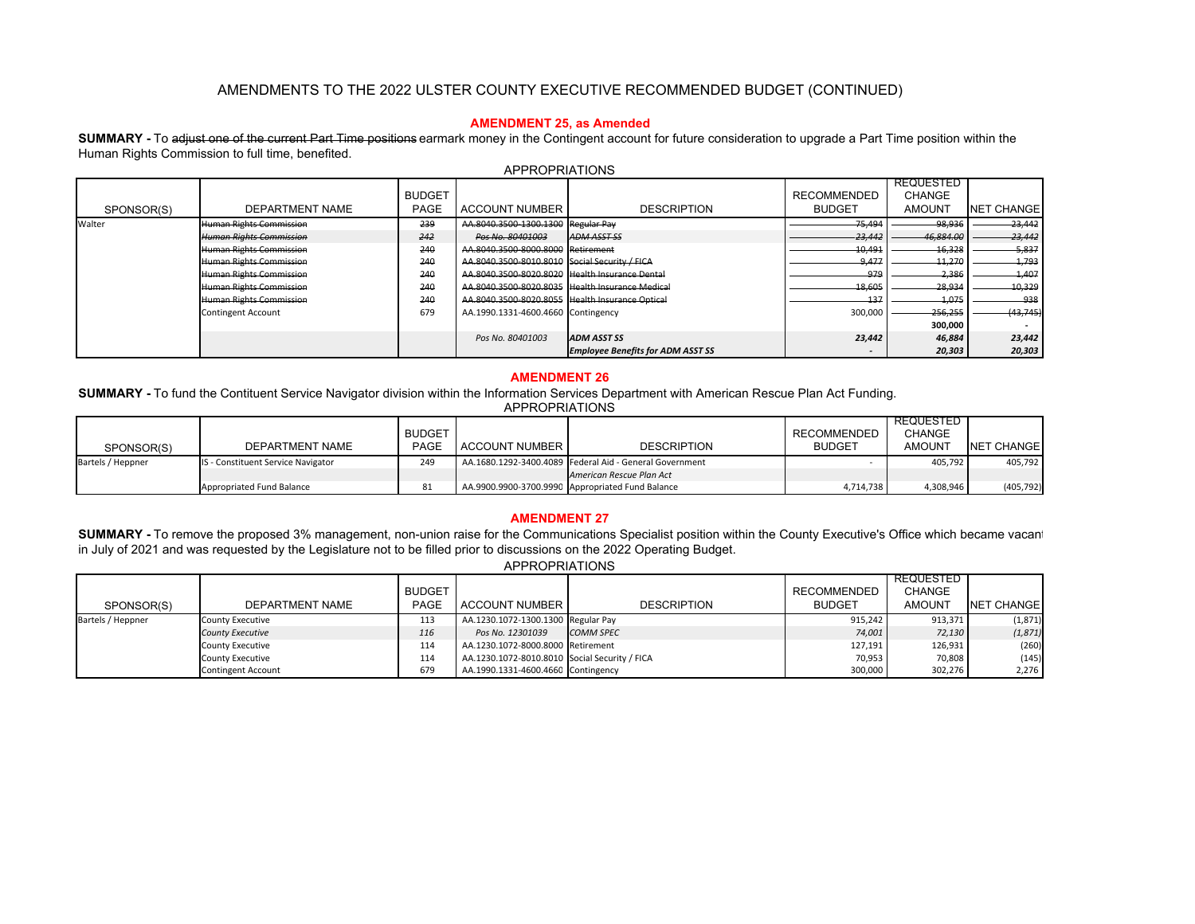## **AMENDMENT 25, as Amended**

**SUMMARY -** To adjust one of the current Part Time positions earmark money in the Contingent account for future consideration to upgrade a Part Time position within the Human Rights Commission to full time, benefited.

| SPONSOR(S) | DEPARTMENT NAME                | <b>BUDGET</b><br><b>PAGE</b> | <b>ACCOUNT NUMBER</b>                           | <b>DESCRIPTION</b>                       | <b>RECOMMENDED</b><br><b>BUDGET</b> | <b>REQUESTED</b><br><b>CHANGE</b><br>AMOUNT | <b>NET CHANGE</b> |
|------------|--------------------------------|------------------------------|-------------------------------------------------|------------------------------------------|-------------------------------------|---------------------------------------------|-------------------|
| Walter     | Human Rights Commission        | 239                          | AA.8040.3500 1300.1300 Regular Pay              |                                          | -75,494                             | -98,936                                     | 23,442            |
|            | <b>Human Rights Commission</b> | 242                          | Pos No. 80401003                                | <b>ADM ASST SS</b>                       | 23,442                              | 46,884.00                                   | -23,442           |
|            | Human Rights Commission        | 240                          | AA.8040.3500-8000.8000 Retirement               |                                          | 10.491                              | 16,328                                      | 5,837             |
|            | <b>Human Rights Commission</b> | 240                          | AA.8040.3500 8010.8010 Social Security / FICA   |                                          | 0.177<br>,,,,                       | 11,270                                      | 1,793             |
|            | Human Rights Commission        | 240                          | AA.8040.3500 8020.8020 Health Insurance Dental  |                                          | 979                                 | -2,386                                      | 1,407             |
|            | Human Rights Commission        | 240                          | AA.8040.3500 8020.8035 Health Insurance Medical |                                          | 18,605                              | 28,934                                      | 10,329            |
|            | Human Rights Commission        | 240                          | AA.8040.3500 8020.8055 Health Insurance Optical |                                          | 127                                 | 4,075                                       | 938               |
|            | <b>Contingent Account</b>      | 679                          | AA.1990.1331-4600.4660 Contingency              |                                          | 300,000                             | 256,255                                     | (43,745)          |
|            |                                |                              |                                                 |                                          |                                     | 300,000                                     |                   |
|            |                                |                              | Pos No. 80401003                                | <b>ADM ASST SS</b>                       | 23,442                              | 46,884                                      | 23,442            |
|            |                                |                              |                                                 | <b>Employee Benefits for ADM ASST SS</b> |                                     | 20,303                                      | 20,303            |

### APPROPRIATIONS

#### **AMENDMENT 26**

**SUMMARY -** To fund the Contituent Service Navigator division within the Information Services Department with American Rescue Plan Act Funding.

#### APPROPRIATIONS

|                   |                                    |               |                |                                                         |                    | REQUESTED     |            |
|-------------------|------------------------------------|---------------|----------------|---------------------------------------------------------|--------------------|---------------|------------|
|                   |                                    | <b>BUDGET</b> |                |                                                         | <b>RECOMMENDED</b> | CHANGE        |            |
| SPONSOR(S)        | DEPARTMENT NAME                    | PAGE          | ACCOUNT NUMBER | <b>DESCRIPTION</b>                                      | <b>BUDGET</b>      | <b>AMOUNT</b> | NET CHANGE |
| Bartels / Heppner | IS - Constituent Service Navigator | 249           |                | AA.1680.1292-3400.4089 Federal Aid - General Government |                    | 405.792       | 405,792    |
|                   |                                    |               |                | American Rescue Plan Act                                |                    |               |            |
|                   | Appropriated Fund Balance          |               |                | AA.9900.9900-3700.9990 Appropriated Fund Balance        | 4,714,738          | 4,308,946     | (405, 792) |

# **AMENDMENT 27**

SUMMARY - To remove the proposed 3% management, non-union raise for the Communications Specialist position within the County Executive's Office which became vacant in July of 2021 and was requested by the Legislature not to be filled prior to discussions on the 2022 Operating Budget.

|  |  |  |  | APPROPRIATIONS |  |  |
|--|--|--|--|----------------|--|--|
|  |  |  |  |                |  |  |

| SPONSOR(S)        | DEPARTMENT NAME           | <b>BUDGET</b><br><b>PAGE</b> | <b>ACCOUNT NUMBER</b>                         | <b>DESCRIPTION</b> | <b>RECOMMENDED</b><br><b>BUDGET</b> | <b>REQUESTED</b><br><b>CHANGE</b><br><b>AMOUNT</b> | NET CHANGE |
|-------------------|---------------------------|------------------------------|-----------------------------------------------|--------------------|-------------------------------------|----------------------------------------------------|------------|
| Bartels / Heppner | <b>County Executive</b>   | 113                          | AA.1230.1072-1300.1300 Regular Pay            |                    | 915,242                             | 913,371                                            | (1,871)    |
|                   | <b>County Executive</b>   | 116                          | Pos No. 12301039                              | <b>COMM SPEC</b>   | 74,001                              | 72,130                                             | (1, 871)   |
|                   | <b>County Executive</b>   | 114                          | AA.1230.1072-8000.8000 Retirement             |                    | 127,191                             | 126,931                                            | (260)      |
|                   | <b>County Executive</b>   | 114                          | AA.1230.1072-8010.8010 Social Security / FICA |                    | 70,953                              | 70,808                                             | (145)      |
|                   | <b>Contingent Account</b> | 679                          | AA.1990.1331-4600.4660 Contingency            |                    | 300,000                             | 302,276                                            | 2,276      |